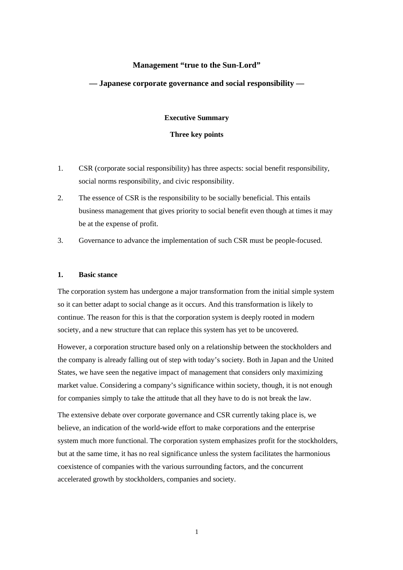# **Management "true to the Sun-Lord"**

# **— Japanese corporate governance and social responsibility —**

#### **Executive Summary**

### **Three key points**

- 1. CSR (corporate social responsibility) has three aspects: social benefit responsibility, social norms responsibility, and civic responsibility.
- 2. The essence of CSR is the responsibility to be socially beneficial. This entails business management that gives priority to social benefit even though at times it may be at the expense of profit.
- 3. Governance to advance the implementation of such CSR must be people-focused.

# **1. Basic stance**

The corporation system has undergone a major transformation from the initial simple system so it can better adapt to social change as it occurs. And this transformation is likely to continue. The reason for this is that the corporation system is deeply rooted in modern society, and a new structure that can replace this system has yet to be uncovered.

However, a corporation structure based only on a relationship between the stockholders and the company is already falling out of step with today's society. Both in Japan and the United States, we have seen the negative impact of management that considers only maximizing market value. Considering a company's significance within society, though, it is not enough for companies simply to take the attitude that all they have to do is not break the law.

The extensive debate over corporate governance and CSR currently taking place is, we believe, an indication of the world-wide effort to make corporations and the enterprise system much more functional. The corporation system emphasizes profit for the stockholders, but at the same time, it has no real significance unless the system facilitates the harmonious coexistence of companies with the various surrounding factors, and the concurrent accelerated growth by stockholders, companies and society.

1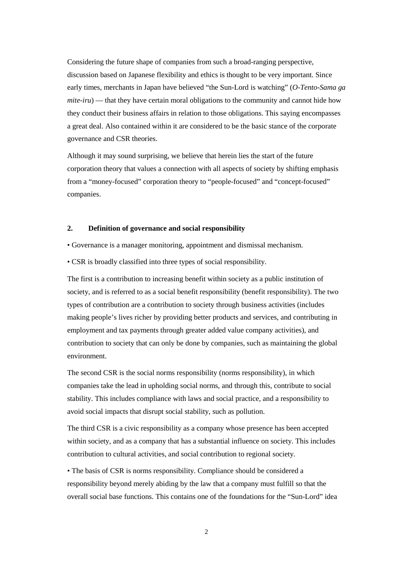Considering the future shape of companies from such a broad-ranging perspective, discussion based on Japanese flexibility and ethics is thought to be very important. Since early times, merchants in Japan have believed "the Sun-Lord is watching" (*O-Tento-Sama ga mite-iru*) — that they have certain moral obligations to the community and cannot hide how they conduct their business affairs in relation to those obligations. This saying encompasses a great deal. Also contained within it are considered to be the basic stance of the corporate governance and CSR theories.

Although it may sound surprising, we believe that herein lies the start of the future corporation theory that values a connection with all aspects of society by shifting emphasis from a "money-focused" corporation theory to "people-focused" and "concept-focused" companies.

### **2. Definition of governance and social responsibility**

- Governance is a manager monitoring, appointment and dismissal mechanism.
- CSR is broadly classified into three types of social responsibility.

The first is a contribution to increasing benefit within society as a public institution of society, and is referred to as a social benefit responsibility (benefit responsibility). The two types of contribution are a contribution to society through business activities (includes making people's lives richer by providing better products and services, and contributing in employment and tax payments through greater added value company activities), and contribution to society that can only be done by companies, such as maintaining the global environment.

The second CSR is the social norms responsibility (norms responsibility), in which companies take the lead in upholding social norms, and through this, contribute to social stability. This includes compliance with laws and social practice, and a responsibility to avoid social impacts that disrupt social stability, such as pollution.

The third CSR is a civic responsibility as a company whose presence has been accepted within society, and as a company that has a substantial influence on society. This includes contribution to cultural activities, and social contribution to regional society.

• The basis of CSR is norms responsibility. Compliance should be considered a responsibility beyond merely abiding by the law that a company must fulfill so that the overall social base functions. This contains one of the foundations for the "Sun-Lord" idea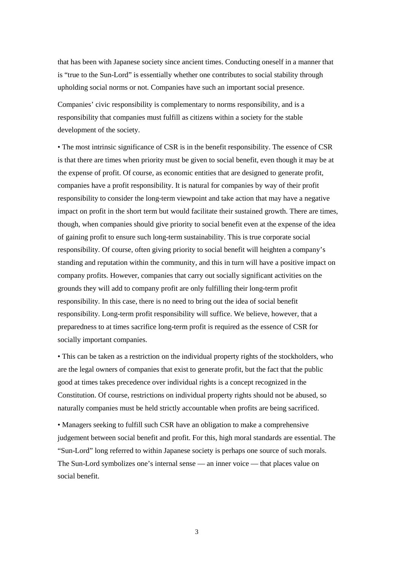that has been with Japanese society since ancient times. Conducting oneself in a manner that is "true to the Sun-Lord" is essentially whether one contributes to social stability through upholding social norms or not. Companies have such an important social presence.

Companies' civic responsibility is complementary to norms responsibility, and is a responsibility that companies must fulfill as citizens within a society for the stable development of the society.

• The most intrinsic significance of CSR is in the benefit responsibility. The essence of CSR is that there are times when priority must be given to social benefit, even though it may be at the expense of profit. Of course, as economic entities that are designed to generate profit, companies have a profit responsibility. It is natural for companies by way of their profit responsibility to consider the long-term viewpoint and take action that may have a negative impact on profit in the short term but would facilitate their sustained growth. There are times, though, when companies should give priority to social benefit even at the expense of the idea of gaining profit to ensure such long-term sustainability. This is true corporate social responsibility. Of course, often giving priority to social benefit will heighten a company's standing and reputation within the community, and this in turn will have a positive impact on company profits. However, companies that carry out socially significant activities on the grounds they will add to company profit are only fulfilling their long-term profit responsibility. In this case, there is no need to bring out the idea of social benefit responsibility. Long-term profit responsibility will suffice. We believe, however, that a preparedness to at times sacrifice long-term profit is required as the essence of CSR for socially important companies.

• This can be taken as a restriction on the individual property rights of the stockholders, who are the legal owners of companies that exist to generate profit, but the fact that the public good at times takes precedence over individual rights is a concept recognized in the Constitution. Of course, restrictions on individual property rights should not be abused, so naturally companies must be held strictly accountable when profits are being sacrificed.

• Managers seeking to fulfill such CSR have an obligation to make a comprehensive judgement between social benefit and profit. For this, high moral standards are essential. The "Sun-Lord" long referred to within Japanese society is perhaps one source of such morals. The Sun-Lord symbolizes one's internal sense — an inner voice — that places value on social benefit.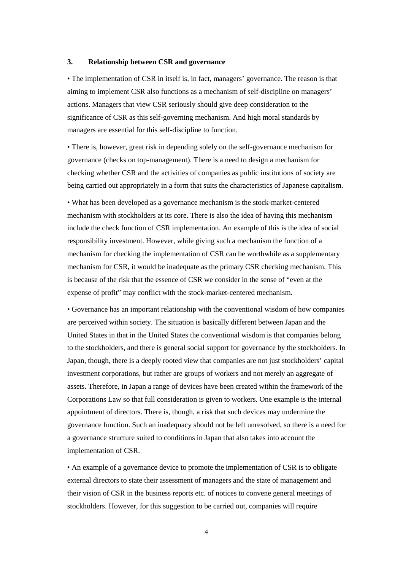### **3. Relationship between CSR and governance**

• The implementation of CSR in itself is, in fact, managers' governance. The reason is that aiming to implement CSR also functions as a mechanism of self-discipline on managers' actions. Managers that view CSR seriously should give deep consideration to the significance of CSR as this self-governing mechanism. And high moral standards by managers are essential for this self-discipline to function.

• There is, however, great risk in depending solely on the self-governance mechanism for governance (checks on top-management). There is a need to design a mechanism for checking whether CSR and the activities of companies as public institutions of society are being carried out appropriately in a form that suits the characteristics of Japanese capitalism.

• What has been developed as a governance mechanism is the stock-market-centered mechanism with stockholders at its core. There is also the idea of having this mechanism include the check function of CSR implementation. An example of this is the idea of social responsibility investment. However, while giving such a mechanism the function of a mechanism for checking the implementation of CSR can be worthwhile as a supplementary mechanism for CSR, it would be inadequate as the primary CSR checking mechanism. This is because of the risk that the essence of CSR we consider in the sense of "even at the expense of profit" may conflict with the stock-market-centered mechanism.

• Governance has an important relationship with the conventional wisdom of how companies are perceived within society. The situation is basically different between Japan and the United States in that in the United States the conventional wisdom is that companies belong to the stockholders, and there is general social support for governance by the stockholders. In Japan, though, there is a deeply rooted view that companies are not just stockholders' capital investment corporations, but rather are groups of workers and not merely an aggregate of assets. Therefore, in Japan a range of devices have been created within the framework of the Corporations Law so that full consideration is given to workers. One example is the internal appointment of directors. There is, though, a risk that such devices may undermine the governance function. Such an inadequacy should not be left unresolved, so there is a need for a governance structure suited to conditions in Japan that also takes into account the implementation of CSR.

• An example of a governance device to promote the implementation of CSR is to obligate external directors to state their assessment of managers and the state of management and their vision of CSR in the business reports etc. of notices to convene general meetings of stockholders. However, for this suggestion to be carried out, companies will require

4